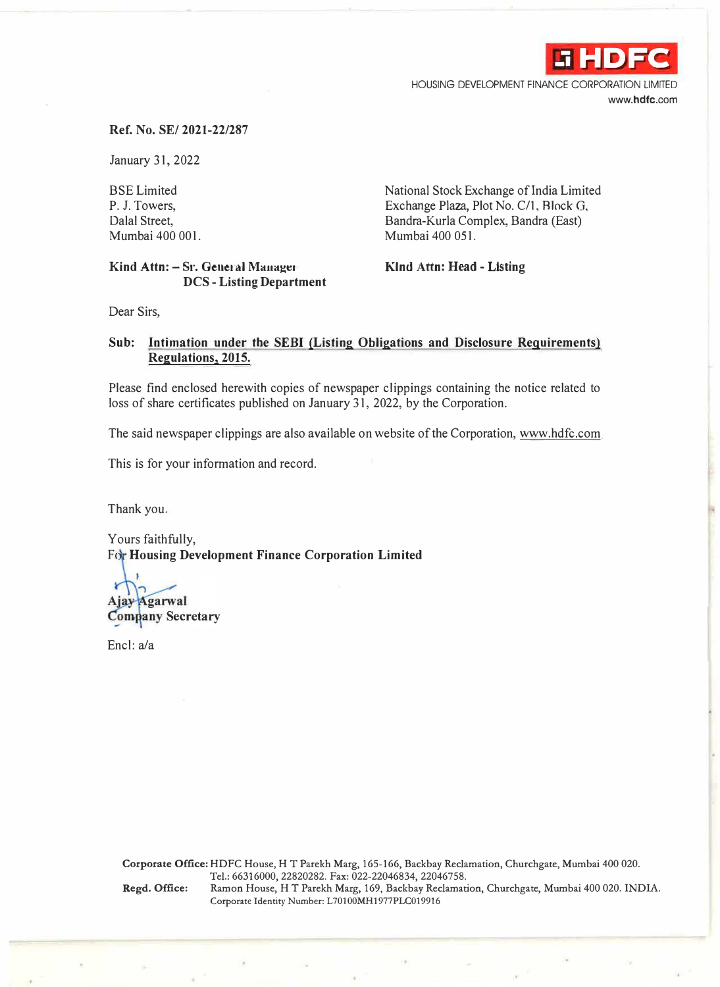

HOUSING DEVELOPMENT FINANCE CORPORATION LIMITED **www.hdfc.com** 

## **Ref. No. SE/ 2021-22/287**

January 31, 2022

BSE Limited P. J. Towers, Dalal Street, Mumbai 400 001.

## Kind Attn: - Sr. General Manager **DCS - Listing Department**

National Stock Exchange of India Limited Exchange Plaza, Plot No. C/1, Block G, Bandra-Kurla Complex, Bandra (East) Mumbai 400 051.

**Kind Attn: Head - Listing** 

Dear Sirs,

## **Sub: Intjmation under the SEBI (Listing Obligations and Disclosure Requirements) Regulations, 2015.**

Please find enclosed herewith copies of newspaper clippings containing the notice related to loss of share certificates published on January 31, 2022, by the Corporation.

The said newspaper clippings are also available on website of the Corporation, www.hdfc.com

This is for your information and record.

Thank you.

Yours faithfully, For Housing Development Finance Corporation Limited

Ajay Agarwal **Company Secretary** 

Encl: a/a

**Corporate Office:** HDFC House, HT Parekh Marg, 165-166, Backbay Reclamation, Churchgate, Mumbai 400 020. Tel.: 66316000, 22820282. Fax: 022-22046834, 22046758. **Regd. Office:** Ramon House, HT Parekh Marg, 169, Backbay Reclamation, Churchgate, Mumbai 400 020. INDIA. Corporate Identity Number: L70100MH1977PLC019916